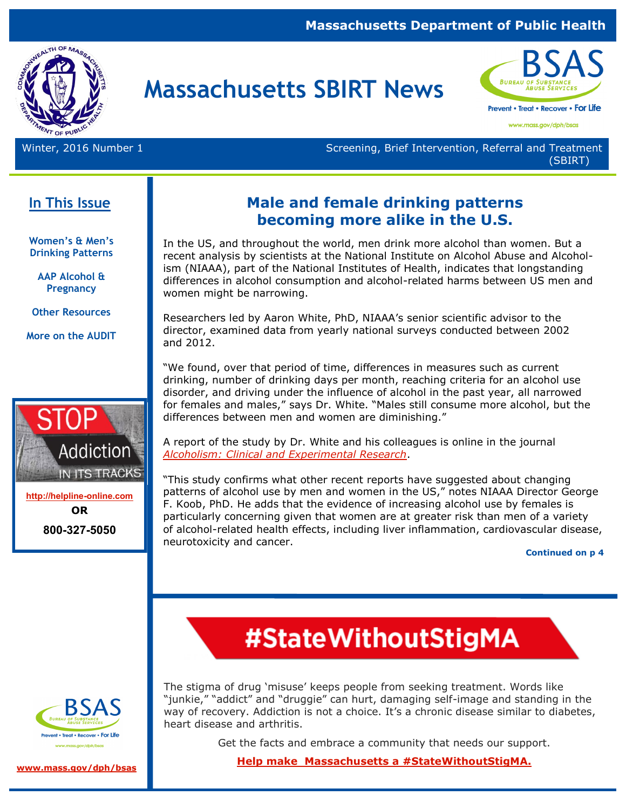#### **Massachusetts Department of Public Health**



# **Massachusetts SBIRT News**



www.mass.gov/dph/bsas

Winter, 2016 Number 1 Number 1 Screening, Brief Intervention, Referral and Treatment (SBIRT)

### **In This Issue**

**Women's & Men's Drinking Patterns** 

**AAP Alcohol & Pregnancy** 

**Other Resources**

**More on the AUDIT**



**<http://helpline-online.com> OR 800-327-5050** 

### **Male and female drinking patterns becoming more alike in the U.S.**

In the US, and throughout the world, men drink more alcohol than women. But a recent analysis by scientists at the National Institute on Alcohol Abuse and Alcoholism (NIAAA), part of the National Institutes of Health, indicates that longstanding differences in alcohol consumption and alcohol-related harms between US men and women might be narrowing.

Researchers led by Aaron White, PhD, NIAAA's senior scientific advisor to the director, examined data from yearly national surveys conducted between 2002 and 2012.

"We found, over that period of time, differences in measures such as current drinking, number of drinking days per month, reaching criteria for an alcohol use disorder, and driving under the influence of alcohol in the past year, all narrowed for females and males," says Dr. White. "Males still consume more alcohol, but the differences between men and women are diminishing."

A report of the study by Dr. White and his colleagues is online in the journal *[Alcoholism: Clinical and Experimental Research](http://www.ncbi.nlm.nih.gov/pubmed/26331879)*.

"This study confirms what other recent reports have suggested about changing patterns of alcohol use by men and women in the US," notes NIAAA Director George F. Koob, PhD. He adds that the evidence of increasing alcohol use by females is particularly concerning given that women are at greater risk than men of a variety of alcohol-related health effects, including liver inflammation, cardiovascular disease, neurotoxicity and cancer.

**Continued on p 4**



**[www.mass.gov/dph/bsas](http://www.mass.gov/dph/bsas)**

#StateWithoutStigMA

The stigma of drug 'misuse' keeps people from seeking treatment. Words like "junkie," "addict" and "druggie" can hurt, damaging self-image and standing in the way of recovery. Addiction is not a choice. It's a chronic disease similar to diabetes, heart disease and arthritis.

Get the facts and embrace a community that needs our support.

**[Help make Massachusetts a #StateWithoutStigMA.](http://www.mass.gov/eohhs/gov/departments/dph/stop-addiction/state-without-stigma/what-is-stigma.html)**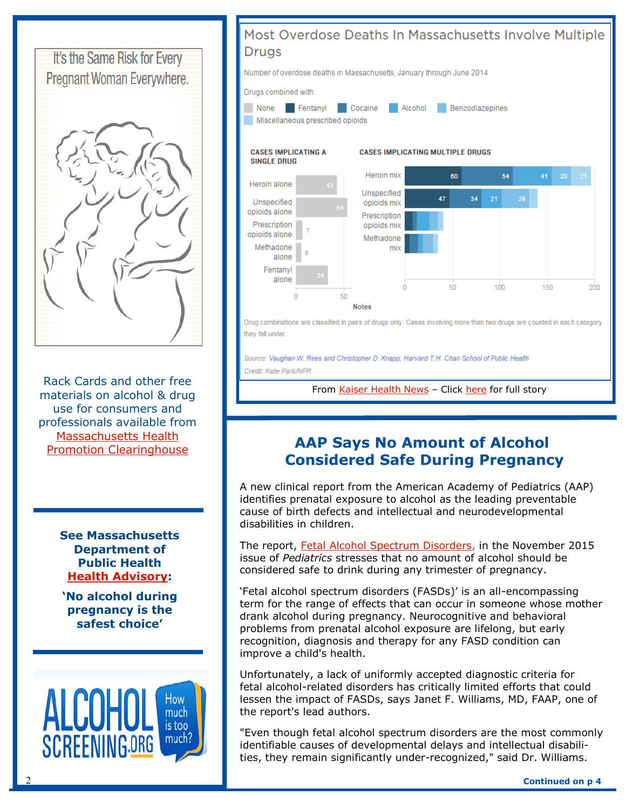

Rack Cards and other free materials on alcohol & drug use for consumers and professionals available from [Massachusetts Health](http://massclearinghouse.ehs.state.ma.us/)  [Promotion Clearinghouse](http://massclearinghouse.ehs.state.ma.us/)

> **See Massachusetts Department of Public Health [Health Advisory:](http://www.mass.gov/eohhs/docs/dph/substance-abuse/360dp-fasd-11032014.pdf)**

**'No alcohol during pregnancy is the safest choice'** 





Source: Vaughan W. Rees and Christopher D. Knapp, Harvard T.H. Chan School of Public Health Credit: Katie Park/NPR

From [Kaiser Health News](http://khn.org/) - Click [here](ontent=24429138&_hsenc=p2ANqtz--RcUZZrtrh5fMHFUR-Wt6nLOeY9tOKZNdXN5Koow22LQWAWv_IUH4l2fJXRk2bDgS5WF60IMX0uZ70mbM87oPWPE7g8nkbqqitmgpidHkqrEipMJ8&_hsmi=24429138) for full story

### **AAP Says No Amount of Alcohol Considered Safe During Pregnancy**

A new clinical report from the American Academy of Pediatrics (AAP) identifies prenatal exposure to alcohol as the leading preventable cause of birth defects and intellectual and neurodevelopmental disabilities in children.

The report, [Fetal Alcohol Spectrum Disorders,](http://pediatrics.aappublications.org/cgi/doi/10.1542/peds.2015-3113) in the November 2015 issue of *Pediatrics* stresses that no amount of alcohol should be considered safe to drink during any trimester of pregnancy.

'Fetal alcohol spectrum disorders (FASDs)' is an all-encompassing term for the range of effects that can occur in someone whose mother drank alcohol during pregnancy. Neurocognitive and behavioral problems from prenatal alcohol exposure are lifelong, but early recognition, diagnosis and therapy for any FASD condition can improve a child's health.

Unfortunately, a lack of uniformly accepted diagnostic criteria for fetal alcohol-related disorders has critically limited efforts that could lessen the impact of FASDs, says Janet F. Williams, MD, FAAP, one of the report's lead authors.

"Even though fetal alcohol spectrum disorders are the most commonly identifiable causes of developmental delays and intellectual disabilities, they remain significantly under-recognized," said Dr. Williams.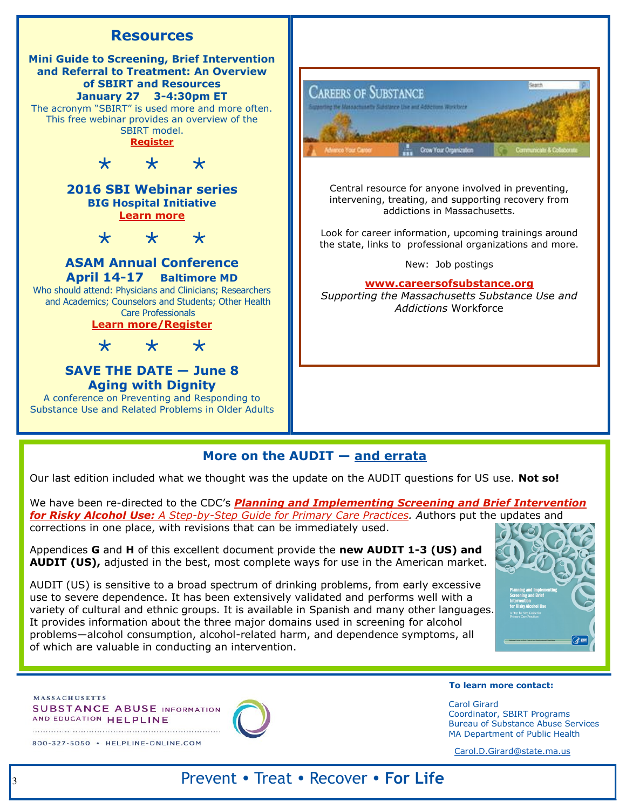

#### **More on the AUDIT — and errata**

Our last edition included what we thought was the update on the AUDIT questions for US use. **Not so!** 

We have been re-directed to the CDC's **Planning and Implementing Screening and Brief Intervention** *for Risky Alcohol Use: [A Step-by-Step Guide for Primary Care Practices.](http://www.cdc.gov/ncbddd/fasd/documents/alcoholsbiimplementationguide.pdf) A*uthors put the updates and corrections in one place, with revisions that can be immediately used.

Appendices **G** and **H** of this excellent document provide the **new AUDIT 1-3 (US) and AUDIT (US),** adjusted in the best, most complete ways for use in the American market.

AUDIT (US) is sensitive to a broad spectrum of drinking problems, from early excessive use to severe dependence. It has been extensively validated and performs well with a variety of cultural and ethnic groups. It is available in Spanish and many other languages. It provides information about the three major domains used in screening for alcohol problems—alcohol consumption, alcohol-related harm, and dependence symptoms, all of which are valuable in conducting an intervention.



**MASSACHUSETTS SUBSTANCE ABUSE INFORMATION** AND EDUCATION HELPLINE

800-327-5050 · HELPLINE-ONLINE.COM



#### **To learn more contact:**

Carol Girard Coordinator, SBIRT Programs Bureau of Substance Abuse Services MA Department of Public Health

[Carol.D.Girard@state.ma.us](mailto:Carol.D.Girard@state.ma.us)